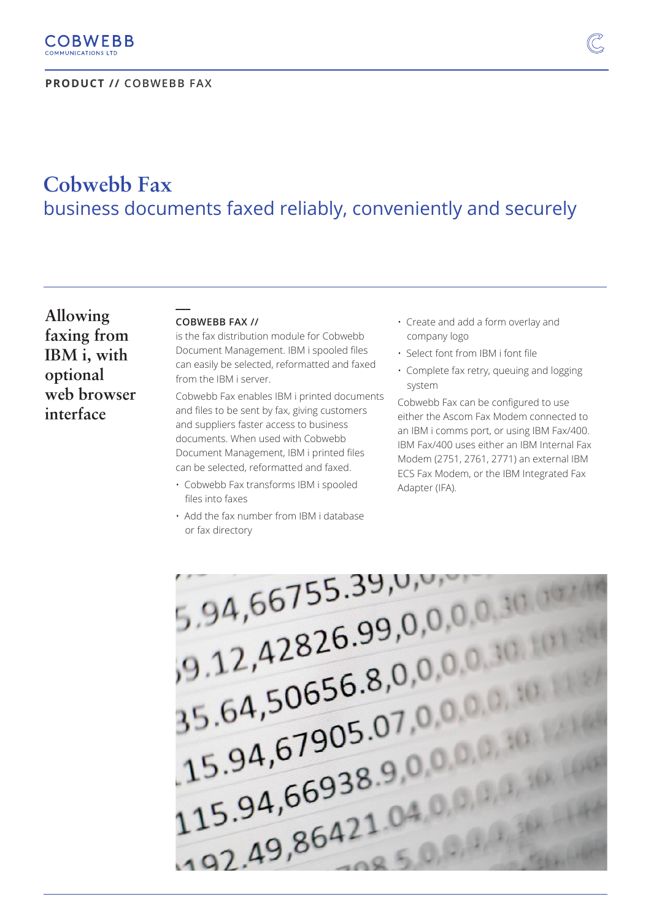

# **Cobwebb Fax** business documents faxed reliably, conveniently and securely

**Allowing faxing from IBM i, with optional web browser interface**

### **COBWEBB FAX //**

**\_\_\_** 

is the fax distribution module for Cobwebb Document Management. IBM i spooled files can easily be selected, reformatted and faxed from the IBM i server.

Cobwebb Fax enables IBM i printed documents and files to be sent by fax, giving customers and suppliers faster access to business documents. When used with Cobwebb Document Management, IBM i printed files can be selected, reformatted and faxed.

- Cobwebb Fax transforms IBM i spooled files into faxes
- Add the fax number from IBM i database or fax directory
- Create and add a form overlay and company logo
- Select font from IBM i font file
- Complete fax retry, queuing and logging system

Cobwebb Fax can be configured to use either the Ascom Fax Modem connected to an IBM i comms port, or using IBM Fax/400. IBM Fax/400 uses either an IBM Internal Fax Modem (2751, 2761, 2771) an external IBM ECS Fax Modem, or the IBM Integrated Fax Adapter (IFA).